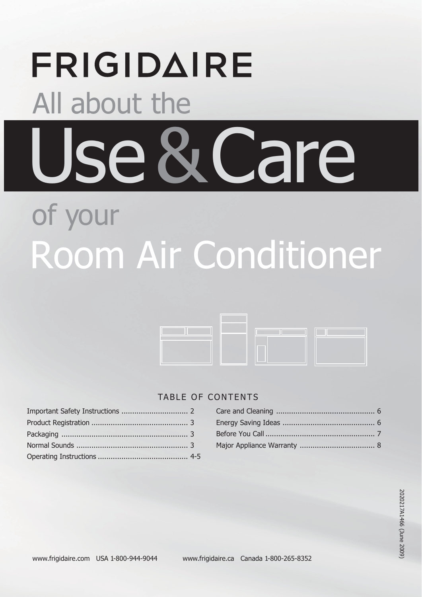# **FRIGIDAIRE** All about the Use&Care of your

# Room Air Conditioner



## TABLE OF CONTENTS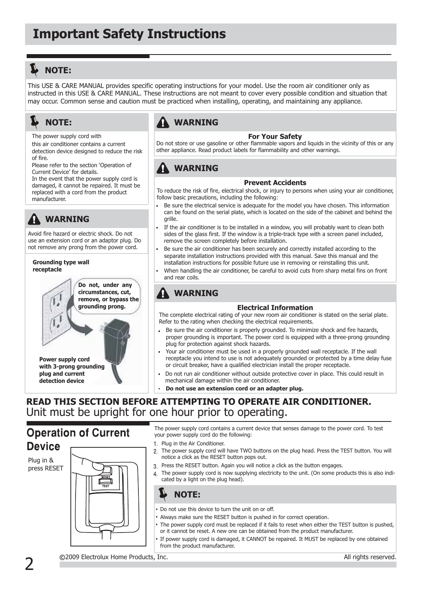## **NOTE:**

This USE & CARE MANUAL provides specific operating instructions for your model. Use the room air conditioner only as instructed in this USE & CARE MANUAL. These instructions are not meant to cover every possible condition and situation that may occur. Common sense and caution must be practiced when installing, operating, and maintaining any appliance.

## **NOTE:**

The power supply cord with

this air conditioner contains a current detection device designed to reduce the risk of fire.

Please refer to the section 'Operation of Current Device' for details.

In the event that the power supply cord is damaged, it cannot be repaired. It must be replaced with a cord from the product manufacturer.

## **WARNING**

Avoid fire hazard or electric shock. Do not use an extension cord or an adaptor plug. Do not remove any prong from the power cord.

#### **Grounding type wall receptacle**

**Do not, under any circumstances, cut, remove, or bypass the grounding prong.**

**Power supply cord with 3-prong grounding plug and current detection device**

## **WARNING**

#### **For Your Safety**

Do not store or use gasoline or other flammable vapors and liquids in the vicinity of this or any other appliance. Read product labels for flammability and other warnings.

## **WARNING**

#### **Prevent Accidents**

To reduce the risk of fire, electrical shock, or injury to persons when using your air conditioner, follow basic precautions, including the following:

- Be sure the electrical service is adequate for the model you have chosen. This information can be found on the serial plate, which is located on the side of the cabinet and behind the grille.
- If the air conditioner is to be installed in a window, you will probably want to clean both sides of the glass first. If the window is a triple-track type with a screen panel included, remove the screen completely before installation.
- Be sure the air conditioner has been securely and correctly installed according to the separate installation instructions provided with this manual. Save this manual and the installation instructions for possible future use in removing or reinstalling this unit.
- When handling the air conditioner, be careful to avoid cuts from sharp metal fins on front and rear coils.

## **WARNING**

### **Electrical Information**

The complete electrical rating of your new room air conditioner is stated on the serial plate. Refer to the rating when checking the electrical requirements.

- Be sure the air conditioner is properly grounded. To minimize shock and fire hazards, proper grounding is important. The power cord is equipped with a three-prong grounding plug for protection against shock hazards.
- Your air conditioner must be used in a properly grounded wall receptacle. If the wall receptacle you intend to use is not adequately grounded or protected by a time delay fuse or circuit breaker, have a qualified electrician install the proper receptacle.
- Do not run air conditioner without outside protective cover in place. This could result in mechanical damage within the air conditioner.
- **Do not use an extension cord or an adapter plug.**

## **READ THIS SECTION BEFORE ATTEMPTING TO OPERATE AIR CONDITIONER.** Unit must be upright for one hour prior to operating.

## **Operation of Current Device**

Plug in & press RESET



The power supply cord contains a current device that senses damage to the power cord. To test your power supply cord do the following:

- 1 Plug in the Air Conditioner.
- 2. The power supply cord will have TWO buttons on the plug head. Press the TEST button. You will notice a click as the RESET button pops out.
- 3. Press the RESET button. Again you will notice a click as the button engages.
- 4. The power supply cord is now supplying electricity to the unit. (On some products this is also indicated by a light on the plug head).



- Do not use this device to turn the unit on or off.
- Always make sure the RESET button is pushed in for correct operation.
- The power supply cord must be replaced if it fails to reset when either the TEST button is pushed, or it cannot be reset. A new one can be obtained from the product manufacturer.
- If power supply cord is damaged, it CANNOT be repaired. It MUST be replaced by one obtained from the product manufacturer.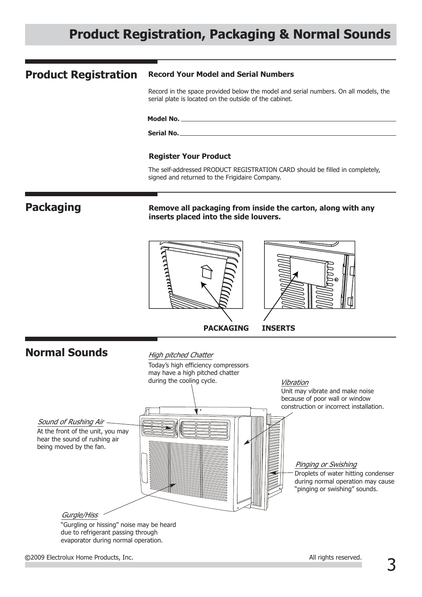# **Product Registration, Packaging & Normal Sounds**

#### **Record Your Model and Serial Numbers Product Registration**

Record in the space provided below the model and serial numbers. On all models, the serial plate is located on the outside of the cabinet.

**Model No.**

**Serial No.**

#### **Register Your Product**

The self-addressed PRODUCT REGISTRATION CARD should be filled in completely, signed and returned to the Frigidaire Company.

## **Packaging**

**Remove all packaging from inside the carton, along with any inserts placed into the side louvers.**



### **Normal Sounds** Today's high efficiency compressors may have a high pitched chatter during the cooling cycle. High pitched Chatter Unit may vibrate and make noise because of poor wall or window construction or incorrect installation. Vibration Pinging or Swishing Droplets of water hitting condenser during normal operation may cause "pinging or swishing" sounds. Sound of Rushing Air At the front of the unit, you may hear the sound of rushing air being moved by the fan. Gurgle/Hiss "Gurgling or hissing" noise may be heard due to refrigerant passing through evaporator during normal operation.

3 2009 Electrolux Home Products, Inc. All rights reserved.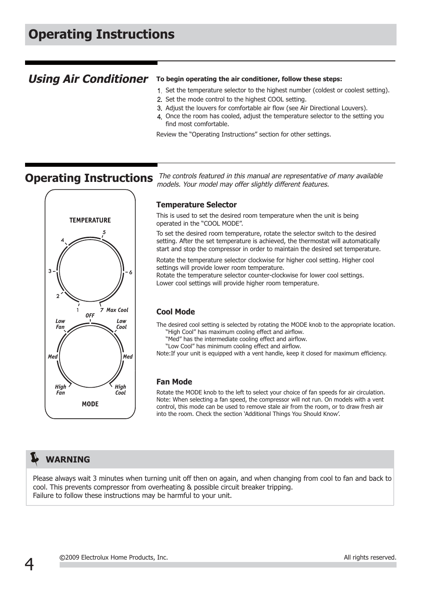## **Using Air Conditioner** To begin operating the air conditioner, follow these steps:

- 1 Set the temperature selector to the highest number (coldest or coolest setting).
- 2. Set the mode control to the highest COOL setting.
- Adjust the louvers for comfortable air flow (see Air Directional Louvers).
- Once the room has cooled, adjust the temperature selector to the setting you find most comfortable.

Review the "Operating Instructions" section for other settings.



**Operating Instructions** The controls featured in this manual are representative of many available models. Your model may offer slightly different features.

#### **Temperature Selector**

This is used to set the desired room temperature when the unit is being operated in the "COOL MODE".

To set the desired room temperature, rotate the selector switch to the desired setting. After the set temperature is achieved, the thermostat will automatically start and stop the compressor in order to maintain the desired set temperature.

Rotate the temperature selector clockwise for higher cool setting. Higher cool settings will provide lower room temperature. Rotate the temperature selector counter-clockwise for lower cool settings.

Lower cool settings will provide higher room temperature.

#### **Cool Mode**

The desired cool setting is selected by rotating the MODE knob to the appropriate location. "High Cool" has maximum cooling effect and airflow.

"Med" has the intermediate cooling effect and airflow.

"Low Cool" has minimum cooling effect and airflow.

Note:If your unit is equipped with a vent handle, keep it closed for maximum efficiency.

#### **Fan Mode**

Rotate the MODE knob to the left to select your choice of fan speeds for air circulation. Note: When selecting a fan speed, the compressor will not run. On models with a vent control, this mode can be used to remove stale air from the room, or to draw fresh air into the room. Check the section 'Additional Things You Should Know'.

## **WARNING**

Please always wait 3 minutes when turning unit off then on again, and when changing from cool to fan and back to cool. This prevents compressor from overheating & possible circuit breaker tripping. Failure to follow these instructions may be harmful to your unit.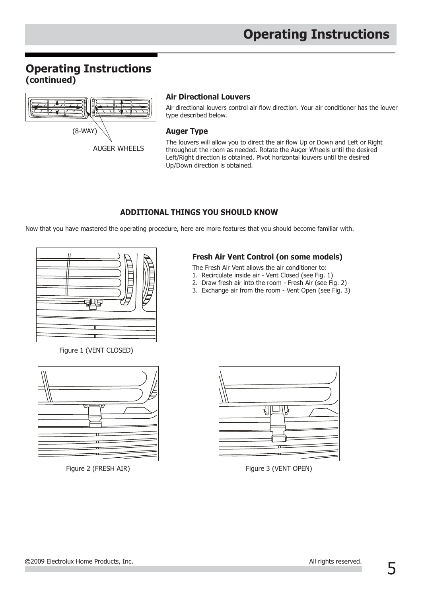## **Operating Instructions (continued)**



AUGER WHEELS

### **Air Directional Louvers**

Air directional louvers control air flow direction. Your air conditioner has the louver type described below.

#### **Auger Type**

The louvers will allow you to direct the air flow Up or Down and Left or Right throughout the room as needed. Rotate the Auger Wheels until the desired Left/Right direction is obtained. Pivot horizontal louvers until the desired Up/Down direction is obtained.

## **ADDITIONAL THINGS YOU SHOULD KNOW**

Now that you have mastered the operating procedure, here are more features that you should become familiar with.



Figure 1 (VENT CLOSED)



## **Fresh Air Vent Control (on some models)**

The Fresh Air Vent allows the air conditioner to:

- 1. Recirculate inside air Vent Closed (see Fig. 1)
- 2. Draw fresh air into the room Fresh Air (see Fig. 2)
- 3. Exchange air from the room Vent Open (see Fig. 3)



Figure 2 (FRESH AIR) Figure 3 (VENT OPEN)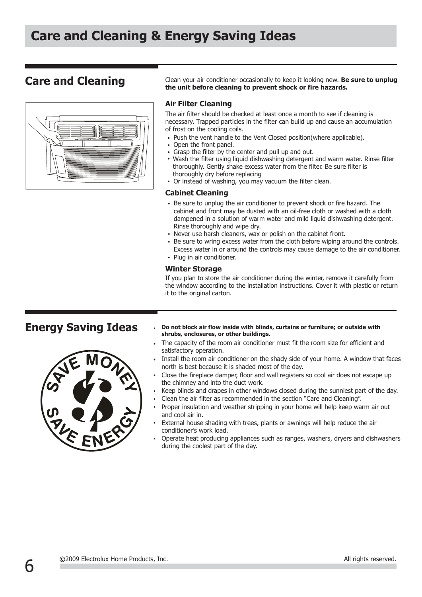

**Care and Cleaning** Clean your air conditioner occasionally to keep it looking new. Be sure to unplug **the unit before cleaning to prevent shock or fire hazards.**

#### **Air Filter Cleaning**

The air filter should be checked at least once a month to see if cleaning is necessary. Trapped particles in the filter can build up and cause an accumulation of frost on the cooling coils.

- Push the vent handle to the Vent Closed position(where applicable).
- Open the front panel.
- Grasp the filter by the center and pull up and out.
- Wash the filter using liquid dishwashing detergent and warm water. Rinse filter thoroughly. Gently shake excess water from the filter. Be sure filter is thoroughly dry before replacing
- Or instead of washing, you may vacuum the filter clean.

#### **Cabinet Cleaning**

- Be sure to unplug the air conditioner to prevent shock or fire hazard. The cabinet and front may be dusted with an oil-free cloth or washed with a cloth dampened in a solution of warm water and mild liquid dishwashing detergent. Rinse thoroughly and wipe dry.
- Never use harsh cleaners, wax or polish on the cabinet front.
- Be sure to wring excess water from the cloth before wiping around the controls.
- Excess water in or around the controls may cause damage to the air conditioner.
- Plug in air conditioner.

#### **Winter Storage**

If you plan to store the air conditioner during the winter, remove it carefully from the window according to the installation instructions. Cover it with plastic or return it to the original carton.

![](_page_5_Picture_20.jpeg)

- **Energy Saving Ideas**  $\cdot$  Do not block air flow inside with blinds, curtains or furniture; or outside with **shrubs, enclosures, or other buildings.**
	- The capacity of the room air conditioner must fit the room size for efficient and satisfactory operation.
	- Install the room air conditioner on the shady side of your home. A window that faces north is best because it is shaded most of the day.
	- Close the fireplace damper, floor and wall registers so cool air does not escape up the chimney and into the duct work.
	- Keep blinds and drapes in other windows closed during the sunniest part of the day.
	- Clean the air filter as recommended in the section "Care and Cleaning".
	- Proper insulation and weather stripping in your home will help keep warm air out and cool air in.
	- External house shading with trees, plants or awnings will help reduce the air conditioner's work load.
	- Operate heat producing appliances such as ranges, washers, dryers and dishwashers during the coolest part of the day.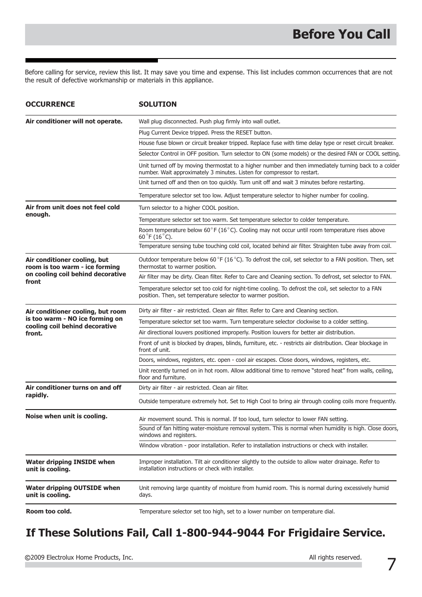Before calling for service, review this list. It may save you time and expense. This list includes common occurrences that are not the result of defective workmanship or materials in this appliance.

| <b>OCCURRENCE</b>                                                                                                | <b>SOLUTION</b>                                                                                                                                                                  |
|------------------------------------------------------------------------------------------------------------------|----------------------------------------------------------------------------------------------------------------------------------------------------------------------------------|
| Air conditioner will not operate.                                                                                | Wall plug disconnected. Push plug firmly into wall outlet.                                                                                                                       |
|                                                                                                                  | Plug Current Device tripped. Press the RESET button.                                                                                                                             |
|                                                                                                                  | House fuse blown or circuit breaker tripped. Replace fuse with time delay type or reset circuit breaker.                                                                         |
|                                                                                                                  | Selector Control in OFF position. Turn selector to ON (some models) or the desired FAN or COOL setting                                                                           |
|                                                                                                                  | Unit turned off by moving thermostat to a higher number and then immediately turning back to a colder<br>number. Wait approximately 3 minutes. Listen for compressor to restart. |
|                                                                                                                  | Unit turned off and then on too quickly. Turn unit off and wait 3 minutes before restarting.                                                                                     |
|                                                                                                                  | Temperature selector set too low. Adjust temperature selector to higher number for cooling.                                                                                      |
| Air from unit does not feel cold<br>enough.                                                                      | Turn selector to a higher COOL position.                                                                                                                                         |
|                                                                                                                  | Temperature selector set too warm. Set temperature selector to colder temperature.                                                                                               |
|                                                                                                                  | Room temperature below 60°F (16°C). Cooling may not occur until room temperature rises above<br>60 °F (16 °C).                                                                   |
|                                                                                                                  | Temperature sensing tube touching cold coil, located behind air filter. Straighten tube away from coil.                                                                          |
| Air conditioner cooling, but<br>room is too warm - ice forming                                                   | Outdoor temperature below 60 °F (16 °C). To defrost the coil, set selector to a FAN position. Then, set<br>thermostat to warmer position.                                        |
| on cooling coil behind decorative                                                                                | Air filter may be dirty. Clean filter. Refer to Care and Cleaning section. To defrost, set selector to FAN.                                                                      |
| front                                                                                                            | Temperature selector set too cold for night-time cooling. To defrost the coil, set selector to a FAN<br>position. Then, set temperature selector to warmer position.             |
| Air conditioner cooling, but room<br>is too warm - NO ice forming on<br>cooling coil behind decorative<br>front. | Dirty air filter - air restricted. Clean air filter. Refer to Care and Cleaning section.                                                                                         |
|                                                                                                                  | Temperature selector set too warm. Turn temperature selector clockwise to a colder setting.                                                                                      |
|                                                                                                                  | Air directional louvers positioned improperly. Position louvers for better air distribution.                                                                                     |
|                                                                                                                  | Front of unit is blocked by drapes, blinds, furniture, etc. - restricts air distribution. Clear blockage in<br>front of unit.                                                    |
|                                                                                                                  | Doors, windows, registers, etc. open - cool air escapes. Close doors, windows, registers, etc.                                                                                   |
|                                                                                                                  | Unit recently turned on in hot room. Allow additional time to remove "stored heat" from walls, ceiling,<br>floor and furniture.                                                  |
| Air conditioner turns on and off<br>rapidly.                                                                     | Dirty air filter - air restricted. Clean air filter.                                                                                                                             |
|                                                                                                                  | Outside temperature extremely hot. Set to High Cool to bring air through cooling coils more frequently.                                                                          |
| Noise when unit is cooling.                                                                                      | Air movement sound. This is normal. If too loud, turn selector to lower FAN setting.                                                                                             |
|                                                                                                                  | Sound of fan hitting water-moisture removal system. This is normal when humidity is high. Close doors,<br>windows and registers.                                                 |
|                                                                                                                  | Window vibration - poor installation. Refer to installation instructions or check with installer.                                                                                |
| <b>Water dripping INSIDE when</b><br>unit is cooling.                                                            | Improper installation. Tilt air conditioner slightly to the outside to allow water drainage. Refer to<br>installation instructions or check with installer.                      |
| Water dripping OUTSIDE when<br>unit is cooling.                                                                  | Unit removing large quantity of moisture from humid room. This is normal during excessively humid<br>days.                                                                       |
| Room too cold.                                                                                                   | Temperature selector set too high, set to a lower number on temperature dial.                                                                                                    |

## **If These Solutions Fail, Call 1-800-944-9044 For Frigidaire Service.**